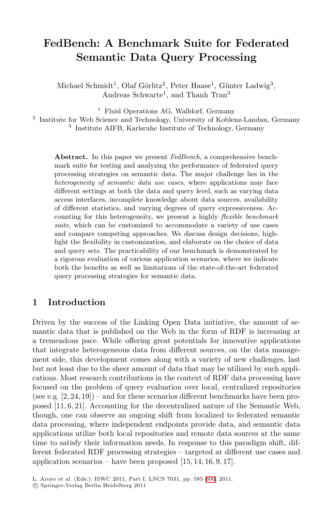# **FedBench: A Benchmark Suite for Federated Semantic Data Query Processing**

Michael Schmidt<sup>1</sup>, Olaf Görlitz<sup>2</sup>, Peter Haase<sup>1</sup>, Günter Ladwig<sup>3</sup>, Andreas Schwarte<sup>1</sup>, and Thanh Tran<sup>3</sup>

<sup>1</sup> Fluid Operations AG, Walldorf, Germany  $^{\rm 2}$  Institute for Web Science and Technology, University of Koblenz-Landau, Germany <sup>3</sup> Institute AIFB, Karlsruhe Institute of Technology, Germany

**Abstract.** In this paper we present *FedBench*, a comprehensive benchmark suite for testing and analyzing the performance of federated query processing strategies on semantic data. The major challenge lies in the *heterogeneity of semantic data use cases*, where applications may face different settings at both the data and query level, such as varying data access interfaces, incomplete knowledge about data sources, availability of different statistics, and varying degrees of query expressiveness. Accounting for this heterogeneity, we present a highly *flexible benchmark suite*, which can be customized to accommodate a variety of use cases and compare competing approaches. We discuss design decisions, highlight the flexibility in customization, and elaborate on the choice of data and query sets. The practicability of our benchmark is demonstrated by a rigorous evaluation of various application scenarios, where we indicate both the benefits as well as limitations of the state-of-the-art federated query processing strategies for semantic data.

### **1 Introduction**

Driven by the success of the Linking Open Data initiative, the amount of semantic data that is published on the Web in the form of RDF is increasing at a tremendous pace. While offering great potentials for innovative applications that integrate heterogeneous data from different sources, on the data management side, this development comes along with a variety of new challenges, last but not least due to the sheer amount of data that may be utilized by such applications. Most research contributions in the context of RDF data processing have focused on the problem of query evaluation over local, centralized repositories (see e.g.  $[2, 24, 19]$ ) – and for these scenarios different benchmarks have been proposed [11, 6, 21]. Accounting for [the](#page-15-0) decentralized nature of the Semantic Web, though, one can observe an ongoing shift from localized to federated semantic data processing, where independent endpoints provide data, and semantic data applications utilize both local repositories and remote data sources at the same time to satisfy their information needs. In response to this paradigm shift, different federated RDF processing strategies – targeted at different use cases and application scenarios – have been proposed  $[15, 14, 16, 9, 17]$ .

L. Aroyo et al. (Eds.): ISWC 2011, Part I, LNCS 7031, pp. 585–600, 2011.

<sup>-</sup>c Springer-Verlag Berlin Heidelberg 2011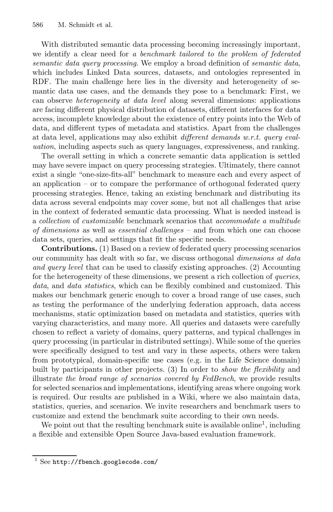With distributed semantic data processing becoming increasingly important, we identify a clear need for *a benchmark tailored to the problem of federated semantic data query processing*. We employ a broad definition of *semantic data*, which includes Linked Data sources, datasets, and ontologies represented in RDF. The main challenge here lies in the diversity and heterogeneity of semantic data use cases, and the demands they pose to a benchmark: First, we can observe *heterogeneity at data level* along several dimensions: applications are facing different physical distribution of datasets, different interfaces for data access, incomplete knowledge about the existence of entry points into the Web of data, and different types of metadata and statistics. Apart from the challenges at data level, applications may also exhibit *different demands w.r.t. query evaluation*, including aspects such as query languages, expressiveness, and ranking.

The overall setting in which a concrete semantic data application is settled may have severe impact on query processing strategies. Ultimately, there cannot exist a single "one-size-fits-all" benchmark to measure each and every aspect of an application – or to compare the performance of orthogonal federated query processing strategies. Hence, taking an existing benchmark and distributing its data across several endpoints may cover some, but not all challenges that arise in the context of federated semantic data processing. What is needed instead is a *collection* of *customizable* benchmark scenarios that *accommodate a multitude of dimensions* as well as *essential challenges* – and from which one can choose data sets, queries, and settings that fit the specific needs.

**Contributions.** (1) Based on a review of federated query processing scenarios our community has dealt with so far, we discuss orthogonal *dimensions at data and query level* that can be used to classify existing approaches. (2) Accounting for the heterogeneity of these dimensions, we present a rich collection of *queries*, *data*, and *data statistics*, which can be flexibly combined and customized. This makes our benchmark generic enough to cover a broad range of use cases, such as testing the performance of the underlying federation approach, data access mechanisms, static optimization based on metadata and statistics, queries with varying characteristics, and many more. All queries and datasets were carefully chosen to reflect a variety of domains, query patterns, and typical challenges in query processing (in particular in distributed settings). While some of the queries were specifically designed to test and vary in these aspects, others were taken from prototypical, domain-specific use cases (e.g. in the Life Science domain) built by participants in other projects. (3) In order to *show the flexibility* and illustrate *the broad range of scenarios covered by FedBench*, we provide results for selected scenarios and implementations, identifying areas where ongoing work is required. Our results are published in a Wiki, where we also maintain data, statistics, queries, and scenarios. We invite researchers and benchmark users to customize and extend the benchmark suite according to their own needs.

We point out that the resulting benchmark suite is available online<sup>1</sup>, including a flexible and extensible Open Source Java-based evaluation framework.

<sup>1</sup> See http://fbench.googlecode.com/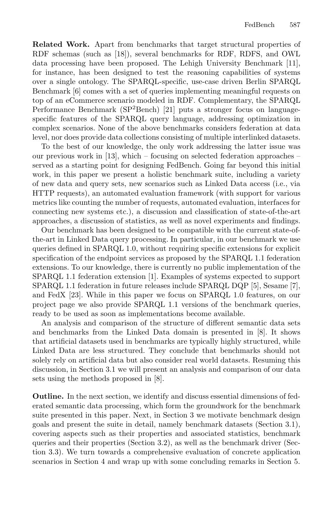**Related Work.** Apart from benchmarks that target structural properties of RDF schemas (such as [18]), several benchmarks for RDF, RDFS, and OWL data processing have been proposed. The Lehigh University Benchmark [11], for instance, has been designed to test the reasoning capabilities of systems over a single ontology. The SPARQL-specific, use-case driven Berlin SPARQL Benchmark [6] comes with a set of queries implementing meaningful requests on top of an eCommerce scenario modeled in RDF. Complementary, the SPARQL Performance Benchmark (SP<sup>2</sup>Bench) [21] puts a stronger focus on languagespecific features of the SPARQL query language, addressing optimization in complex scenarios. None of the above benchmarks considers federation at data level, nor does provide data collections consisting of multiple interlinked datasets.

To the best of our knowledge, the only work addressing the latter issue was our previous work in [13], which – focusing on selected federation approaches – served as a starting point for designing FedBench. Going far beyond this initial work, in this paper we present a holistic benchmark suite, including a variety of new data and query sets, new scenarios such as Linked Data access (i.e., via HTTP requests), an automated evaluation framework (with support for various metrics like counting the number of requests, automated evaluation, interfaces for connecting new systems etc.), a discussion and classification of state-of-the-art approaches, a discussion of statistics, as well as novel experiments and findings.

Our benchmark has been designed to be compatible with the current state-ofthe-art in Linked Data query processing. In particular, in our benchmark we use queries defined in SPARQL 1.0, without requiring specific extensions for explicit specification of the endpoint services as proposed by the SPARQL 1.1 federation extensions. To our knowledge, there is currently no public implementation of the SPARQL 1.1 federation extension [1]. Examples of systems expected to support SPARQL 1.1 federation in future releases include SPARQL DQP [5], Sesame [7], and FedX [23]. While in this paper we focus on SPARQL 1.0 features, on our project page we also provide SPARQL 1.1 versions of the benchmark queries, ready to be used as soon as implementations become available.

An analysis and comparison of the structure of different semantic data sets and benchmarks from the Linked Data domain is presented in [8]. It shows that artificial datasets used in benchmarks are typically highly structured, while Linked Data are less structured. They conclude that benchmarks should not solely rely on artificial data but also consider real world datasets. Resuming this discussion, in Section 3.1 we will present an analysis and comparison of our data sets using the methods proposed in [8].

**Outline.** In the next section, we identify and discuss essential dimensions of federated semantic data processing, which form the groundwork for the benchmark suite presented in this paper. Next, in Section 3 we motivate benchmark design goals and present the suite in detail, namely benchmark datasets (Section 3.1), covering aspects such as their properties and associated statistics, benchmark queries and their properties (Section 3.2), as well as the benchmark driver (Section 3.3). We turn towards a comprehensive evaluation of concrete application scenarios in Section 4 and wrap up with some concluding remarks in Section 5.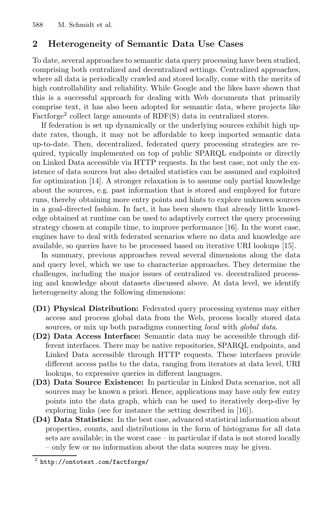# **2 Heterogeneity of Semantic Data Use Cases**

To date, several approaches to semantic data query processing have been studied, comprising both centralized and decentralized settings. Centralized approaches, where all data is periodically crawled and stored locally, come with the merits of high controllability and reliability. While Google and the likes have shown that this is a successful approach for dealing with Web documents that primarily comprise text, it has also been adopted for semantic data, where projects like Factforge<sup>2</sup> collect large amounts of RDF(S) data in centralized stores.

If federation is set up dynamically or the underlying sources exhibit high update rates, though, it may not be affordable to keep imported semantic data up-to-date. Then, decentralized, federated query processing strategies are required, typically implemented on top of public SPARQL endpoints or directly on Linked Data accessible via HTTP requests. In the best case, not only the existence of data sources but also detailed statistics can be assumed and exploited for optimization [14]. A stronger relaxation is to assume only partial knowledge about the sources, e.g. past information that is stored and employed for future runs, thereby obtaining more entry points and hints to explore unknown sources in a goal-directed fashion. In fact, it has been shown that already little knowledge obtained at runtime can be used to adaptively correct the query processing strategy chosen at compile time, to improve performance [16]. In the worst case, engines have to deal with federated scenarios where no data and knowledge are available, so queries have to be processed based on iterative URI lookups [15].

In summary, previous approaches reveal several dimensions along the data and query level, which we use to characterize approaches. They determine the challenges, including the major issues of centralized vs. decentralized processing and knowledge about datasets discussed above. At data level, we identify heterogeneity along the following dimensions:

- **(D1) Physical Distribution:** Federated query processing systems may either access and process global data from the Web, process locally stored data sources, or mix up both paradigms connecting *local* with *global data*.
- **(D2) Data Access Interface:** Semantic data may be accessible through different interfaces. There may be native repositories, SPARQL endpoints, and Linked Data accessible through HTTP requests. These interfaces provide different access paths to the data, ranging from iterators at data level, URI lookups, to expressive queries in different languages.
- **(D3) Data Source Existence:** In particular in Linked Data scenarios, not all sources may be known a priori. Hence, applications may have only few entry points into the data graph, which can be used to iteratively deep-dive by exploring links (see for instance the setting described in [16]).
- **(D4) Data Statistics:** In the best case, advanced statistical information about properties, counts, and distributions in the form of histograms for all data sets are available; in the worst case – in particular if data is not stored locally – only few or no information about the data sources may be given.

<sup>2</sup> http://ontotext.com/factforge/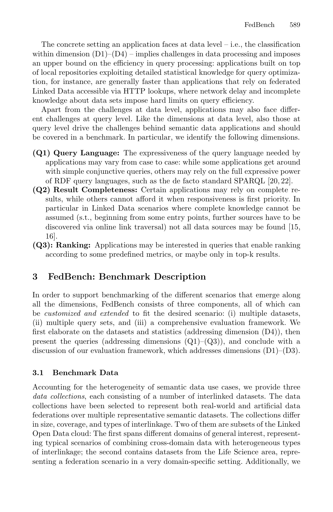The concrete setting an application faces at data level  $-$  i.e., the classification within dimension  $(D1)$ – $(D4)$  – implies challenges in data processing and imposes an upper bound on the efficiency in query processing: applications built on top of local repositories exploiting detailed statistical knowledge for query optimization, for instance, are generally faster than applications that rely on federated Linked Data accessible via HTTP lookups, where network delay and incomplete knowledge about data sets impose hard limits on query efficiency.

Apart from the challenges at data level, applications may also face different challenges at query level. Like the dimensions at data level, also those at query level drive the challenges behind semantic data applications and should be covered in a benchmark. In particular, we identify the following dimensions.

- **(Q1) Query Language:** The expressiveness of the query language needed by applications may vary from case to case: while some applications get around with simple conjunctive queries, others may rely on the full expressive power of RDF query languages, such as the de facto standard SPARQL [20, 22].
- **(Q2) Result Completeness:** Certain applications may rely on complete results, while others cannot afford it when responsiveness is first priority. In particular in Linked Data scenarios where complete knowledge cannot be assumed (s.t., beginning from some entry points, further sources have to be discovered via online link traversal) not all data sources may be found [15, 16].
- **(Q3): Ranking:** Applications may be interested in queries that enable ranking according to some predefined metrics, or maybe only in top-k results.

# **3 FedBench: Benchmark Description**

In order to support benchmarking of the different scenarios that emerge along all the dimensions, FedBench consists of three components, all of which can be *customized and extended* to fit the desired scenario: (i) multiple datasets, (ii) multiple query sets, and (iii) a comprehensive evaluation framework. We first elaborate on the datasets and statistics (addressing dimension  $(D4)$ ), then present the queries (addressing dimensions  $(Q1)-(Q3)$ ), and conclude with a discussion of our evaluation framework, which addresses dimensions  $(D1)$ – $(D3)$ .

### **3.1 Benchmark Data**

Accounting for the heterogeneity of semantic data use cases, we provide three *data collections*, each consisting of a number of interlinked datasets. The data collections have been selected to represent both real-world and artificial data federations over multiple representative semantic datasets. The collections differ in size, coverage, and types of interlinkage. Two of them are subsets of the Linked Open Data cloud: The first spans different domains of general interest, representing typical scenarios of combining cross-domain data with heterogeneous types of interlinkage; the second contains datasets from the Life Science area, representing a federation scenario in a very domain-specific setting. Additionally, we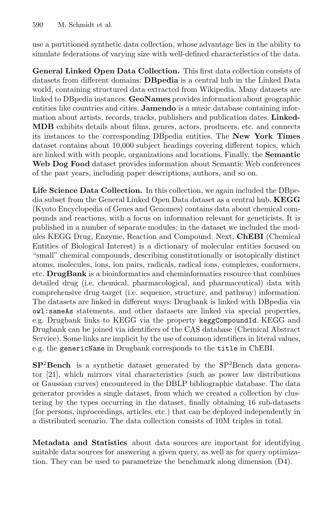use a partitioned synthetic data collection, whose advantage lies in the ability to simulate federations of varying size with well-defined characteristics of the data.

**General Linked Open Data Collection.** This first data collection consists of datasets from different domains: **DBpedia** is a central hub in the Linked Data world, containing structured data extracted from Wikipedia. Many datasets are linked to DBpedia instances. **GeoNames** provides information about geographic entities like countries and cities. **Jamendo** is a music database containing information about artists, records, tracks, publishers and publication dates. **Linked-MDB** exhibits details about films, genres, actors, producers, etc. and connects its instances to the corresponding DBpedia entities. The **New York Times** dataset contains about 10,000 subject headings covering different topics, which are linked with with people, organizations and locations. Finally, the **Semantic Web Dog Food** dataset provides information about Semantic Web conferences of the past years, including paper descriptions, authors, and so on.

**Life Science Data Collection.** In this collection, we again included the DBpedia subset from the General Linked Open Data dataset as a central hub. **KEGG** (Kyoto Encyclopedia of Genes and Genomes) contains data about chemical compounds and reactions, with a focus on information relevant for geneticists. It is published in a number of separate modules; in the dataset we included the modules KEGG Drug, Enzyme, Reaction and Compound. Next, **ChEBI** (Chemical Entities of Biological Interest) is a dictionary of molecular entities focused on "small" chemical compounds, describing constitutionally or isotopically distinct atoms, molecules, ions, ion pairs, radicals, radical ions, complexes, conformers, etc. **DrugBank** is a bioinformatics and cheminformatics resource that combines detailed drug (i.e. chemical, pharmacological, and pharmaceutical) data with comprehensive drug target (i.e. sequence, structure, and pathway) information. The datasets are linked in different ways: Drugbank is linked with DBpedia via owl:sameAs statements, and other datasets are linked via special properties, e.g. Drugbank links to KEGG via the property keggCompoundId. KEGG and Drugbank can be joined via identifiers of the CAS database (Chemical Abstract Service). Some links are implicit by the use of common identifiers in literal values, e.g. the genericName in Drugbank corresponds to the title in ChEBI.

**SP**2**Bench** is a synthetic dataset generated by the SP<sup>2</sup>Bench data generator [21], which mirrors vital characteristics (such as power law distributions or Gaussian curves) encountered in the DBLP bibliographic database. The data generator provides a single dataset, from which we created a collection by clustering by the types occurring in the dataset, finally obtaining 16 sub-datasets (for persons, inproceedings, articles, etc.) that can be deployed independently in a distributed scenario. The data collection consists of 10M triples in total.

**Metadata and Statistics** about data sources are important for identifying suitable data sources for answering a given query, as well as for query optimization. They can be used to parametrize the benchmark along dimension (D4).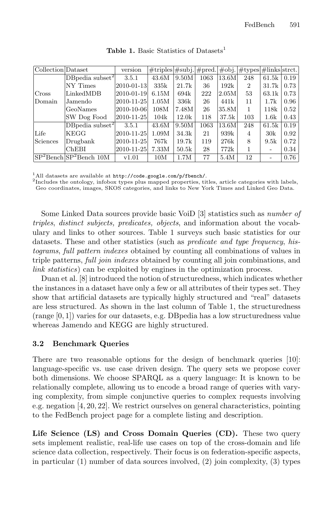| Collection Dataset |                                | version            | $\#$ triples $\#$ subj. $\#$ pred. |       |      |       | $\#$ obj. $ \#$ types $ \#$ links strct. |       |      |
|--------------------|--------------------------------|--------------------|------------------------------------|-------|------|-------|------------------------------------------|-------|------|
|                    | $DB$ pedia subset <sup>2</sup> | 3.5.1              | 43.6M                              | 9.50M | 1063 | 13.6M | 248                                      | 61.5k | 0.19 |
|                    | NY Times                       | $2010 - 01 - 13$   | 335k                               | 21.7k | 36   | 192k  | $\overline{2}$                           | 31.7k | 0.73 |
| Cross              | LinkedMDB                      | 2010-01-19         | 6.15M                              | 694k  | 222  | 2.05M | 53                                       | 63.1k | 0.73 |
| Domain             | Jamendo                        | $2010 - 11 - 25$   | 1.05M                              | 336k  | 26   | 441k  | 11                                       | 1.7k  | 0.96 |
|                    | GeoNames                       | $2010 - 10 - 06$   | 108M                               | 7.48M | 26   | 35.8M | 1                                        | 118k  | 0.52 |
|                    | SW Dog Food                    | $2010 - 11 - 25$   | 104k                               | 12.0k | 118  | 37.5k | 103                                      | 1.6k  | 0.43 |
|                    | $DB$ pedia subset <sup>2</sup> | 3.5.1              | 43.6M                              | 9.50M | 1063 | 13.6M | 248                                      | 61.5k | 0.19 |
| Life               | KEGG                           | $ 2010 - 11 - 25 $ | 1.09M                              | 34.3k | 21   | 939k  | 4                                        | 30k   | 0.92 |
| Sciences           | Drugbank                       | $2010 - 11 - 25$   | 767k                               | 19.7k | 119  | 276k  | 8                                        | 9.5k  | 0.72 |
|                    | ChEBI                          | $2010 - 11 - 25$   | 7.33M                              | 50.5k | 28   | 772k  | 1                                        |       | 0.34 |
|                    | $ SP2$ Bench $ SP2$ Bench 10M  | v1.01              | 10M                                | 1.7M  | 77   | 5.4M  | 12                                       |       | 0.76 |

**Table 1.** Basic Statistics of Datasets<sup>1</sup>

 $^1$  All datasets are available at  ${\tt http://code.google.com/p/fiberh/.}$   $^2$  Includes the ontology, infobox types plus mapped properties, titles, article categories with labels, Geo coordinates, images, SKOS categories, and links to New York Times and Linked Geo Data.

Some Linked Data sources provide basic VoiD [3] statistics such as *number of triples*, *distinct subjects, predicates, objects*, and information about the vocabulary and links to other sources. Table 1 surveys such basic statistics for our datasets. These and other statistics (such as *predicate and type frequency*, *histograms*, *full pattern indexes* obtained by counting all combinations of values in triple patterns, *full join indexes* obtained by counting all join combinations, and *link statistics*) can be exploited by engines in the optimization process.

Duan et al. [8] introduced the notion of structuredness, which indicates whether the instances in a dataset have only a few or all attributes of their types set. They show that artificial datasets are typically highly structured and "real" datasets are less structured. As shown in the last column of Table 1, the structuredness (range [0*,* 1]) varies for our datasets, e.g. DBpedia has a low structuredness value whereas Jamendo and KEGG are highly structured.

### **3.2 Benchmark Queries**

There are two reasonable options for the design of benchmark queries [10]: language-specific vs. use case driven design. The query sets we propose cover both dimensions. We choose SPARQL as a query language: It is known to be relationally complete, allowing us to encode a broad range of queries with varying complexity, from simple conjunctive queries to complex requests involving e.g. negation [4, 20, 22]. We restrict ourselves on general characteristics, pointing to the FedBench project page for a complete listing and description.

**Life Science (LS) and Cross Domain Queries (CD).** These two query sets implement realistic, real-life use cases on top of the cross-domain and life science data collection, respectively. Their focus is on federation-specific aspects, in particular  $(1)$  number of data sources involved,  $(2)$  join complexity,  $(3)$  types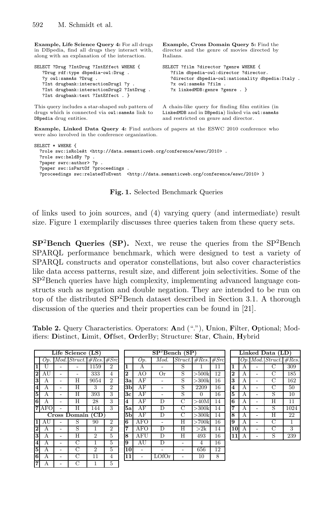**Example, Life Science Query 4:** For all drugs in DBpedia, find all drugs they interact with, along with an explanation of the interaction.

```
SELECT ?Drug ?IntDrug ?IntEffect WHERE {
 ?Drug rdf:type dbpedia-owl:Drug .
  ?y owl:sameAs ?Drug .
 ?Int drugbank:interactionDrug1 ?y .
 ?Int drugbank:interactionDrug2 ?IntDrug .
  ?Int drugbank:text ?IntEffect . }
```
**Example, Cross Domain Query 5:** Find the director and the genre of movies directed by Italians.

```
SELECT ?film ?director ?genre WHERE {
  ?film dbpedia-owl:director ?director.
  ?director dbpedia-owl:nationality dbpedia:Italy .
 ?x owl:sameAs ?film .
 ?x linkedMDB:genre ?genre . }
```
This query includes a star-shaped sub pattern of drugs which is connected via owl:sameAs link to DBpedia drug entities.

A chain-like query for finding film entities (in LinkedMDB and in DBpedia) linked via owl:sameAs and restricted on genre and director.

**Example, Linked Data Query 4:** Find authors of papers at the ESWC 2010 conference who were also involved in the conference organization.

```
SELECT * WHERE {
?role swc:isRoleAt <http://data.semanticweb.org/conference/eswc/2010>.
?role swc:heldBy ?p .
?paper swrc:author> ?p .
?paper swc:isPartOf ?proceedings .
?proceedings swc:relatedToEvent <http://data.semanticweb.org/conference/eswc/2010> }
```
**Fig. 1.** Selected Benchmark Queries

of links used to join sources, and (4) varying query (and intermediate) result size. Figure 1 exemplarily discusses three queries taken from these query sets.

 $SP<sup>2</sup>$ **Bench Queries (SP).** Next, we reuse the queries from the SP<sup>2</sup>Bench SPARQL performance benchmark, which were designed to test a variety of SPARQL constructs and operator constellations, but also cover characteristics like data access patterns, result size, and different join selectivities. Some of the  $SP<sup>2</sup>$ Bench queries have high complexity, implementing advanced language constructs such as negation and double negation. They are intended to be run on top of the distributed  $SP<sup>2</sup>$ Bench dataset described in Section 3.1. A thorough discussion of the queries and their properties can be found in [21].

**Table 2.** Query Characteristics. Operators: **A**nd ("."), **U**nion, **F**ilter, **O**ptional; Modifiers: **D**istinct, **L**imit, **Of**fset, **Or**derBy; Structure: **S**tar, **C**hain, **H**ybrid

| Life Science (LS)                                 |                |  |                    |                 |                |  |  |  |  |  |
|---------------------------------------------------|----------------|--|--------------------|-----------------|----------------|--|--|--|--|--|
|                                                   | Op.            |  | Mod. Struct. #Res. |                 | #Src           |  |  |  |  |  |
| 1                                                 | U              |  |                    | 1159            | $\overline{2}$ |  |  |  |  |  |
| $\overline{2}$                                    | AU             |  |                    | 333             | 4              |  |  |  |  |  |
| 3                                                 | А              |  | H                  | 9054            | $\overline{2}$ |  |  |  |  |  |
| 4                                                 | А              |  | Ή                  | 3               | $\overline{2}$ |  |  |  |  |  |
| 5                                                 | $\overline{A}$ |  | Ή                  | 393             | 3              |  |  |  |  |  |
| 6                                                 | A              |  | Ħ                  | 28              | 3              |  |  |  |  |  |
|                                                   | 7 AFO          |  | Η                  | 144             | 3              |  |  |  |  |  |
| $(\overline{\mathrm{CD}})$<br><b>Cross Domain</b> |                |  |                    |                 |                |  |  |  |  |  |
| 1                                                 | AU             |  | S                  | 90              | $\overline{2}$ |  |  |  |  |  |
| $\overline{2}$                                    | А              |  | S                  | 1               | $\overline{2}$ |  |  |  |  |  |
| $\overline{\mathbf{3}}$                           | $\overline{A}$ |  | Η                  | $\overline{2}$  | 5              |  |  |  |  |  |
| 4                                                 | $\overline{A}$ |  | C                  | ī               | 5              |  |  |  |  |  |
| 5                                                 | $\overline{A}$ |  | C                  | $\overline{2}$  | 5              |  |  |  |  |  |
| 6                                                 | А              |  | C                  | $\overline{1}1$ | $\overline{4}$ |  |  |  |  |  |
| 7                                                 |                |  | Ċ                  |                 | 5              |  |  |  |  |  |

| Life Science (LS)       |                |   |                           |                             |                | $\overline{\text{SP}}^2$ Bench (SP) |                          |       |                      |          | Linked Data (LD) |  |                     |     |  |                         |      |
|-------------------------|----------------|---|---------------------------|-----------------------------|----------------|-------------------------------------|--------------------------|-------|----------------------|----------|------------------|--|---------------------|-----|--|-------------------------|------|
|                         | O <sub>p</sub> |   | $Mod.$ Struct. #Res. #Src |                             |                |                                     | Op.                      | Mod.  | $Struct.$ #Res. #Src |          |                  |  |                     | Op. |  | $Mod.$ Struct. $\#Res.$ |      |
|                         |                |   |                           | 1159                        | $\overline{2}$ | $\mathbf{1}$                        | А                        |       | S                    |          | 11               |  | 11                  | A   |  | С                       | 309  |
| $\overline{\mathbf{2}}$ | AU             |   |                           | 333                         | 4              | $\overline{2}$                      | AO                       | Or    | S                    | >500k    | 12               |  | $\boldsymbol{2}$    | А   |  | С                       | 185  |
| 3                       | A              |   | H                         | 9054                        | $\overline{2}$ | 3a                                  | AF                       |       | S                    | >300k    | 16               |  | 3                   | A   |  | С                       | 162  |
| 4                       | А              | - | Н                         | 3                           | $\overline{2}$ | 3 <sub>b</sub>                      | AF                       |       | S                    | 2209     | 16               |  | $\overline{\bf{4}}$ | А   |  | С                       | 50   |
| 5                       | А              |   | Η                         | 393                         | 3              | 3c                                  | AF                       |       | S                    | $\Omega$ | 16               |  | $\overline{5}$      | А   |  | S                       | 10   |
| 6                       | А              |   | Н                         | 28                          | 3              | 4                                   | ΑF                       | D     | С                    | >40M     | 14               |  | 6                   | А   |  | Н                       | 11   |
|                         | 7AFO           |   | H                         | 144                         | 3              | 5a                                  | AF                       | D     | C                    | >300k    | 14               |  | 7                   | A   |  | S                       | 1024 |
|                         |                |   | Cross Domain (CD)         |                             |                | 5 <sub>b</sub>                      | AF                       | D     | C                    | >300k    | 14               |  | 8                   | A   |  | H                       | 22   |
|                         | ΑU             |   | S                         | 90                          | $\overline{2}$ | 6                                   | AFO                      |       | Н                    | >700k    | 16               |  | 9                   | A   |  | C                       |      |
| $\overline{\mathbf{2}}$ | А              |   | S                         |                             | $\overline{2}$ | 7                                   | AFO                      | D     | Н                    | >2k      | 14               |  | 10                  | А   |  | С                       | 3    |
| 3                       | A              | - | H                         | $\mathcal{D}_{\mathcal{L}}$ | 5              | 8                                   | AFU                      | D     | H                    | 493      | 16               |  | 11                  | А   |  | S                       | 239  |
| 4                       | А              | - | C                         |                             | 5              | 9                                   | AU                       | D     |                      | 4        | 16               |  |                     |     |  |                         |      |
| 5                       | А              | - | С                         | $\overline{2}$              | 5              | 10                                  | $\overline{\phantom{a}}$ |       |                      | 656      | 12               |  |                     |     |  |                         |      |
| 6                       | А              |   | C                         | 11                          | 4              | 11                                  | ۰                        | LOfOr |                      | 10       | 8                |  |                     |     |  |                         |      |
| 7                       | $\Lambda$      |   | $\curvearrowright$        |                             | $\mathbf{K}$   |                                     |                          |       |                      |          |                  |  |                     |     |  |                         |      |

| Linked Data (LD)        |   |  |                            |                 |  |  |  |  |  |  |
|-------------------------|---|--|----------------------------|-----------------|--|--|--|--|--|--|
|                         |   |  | $Op.$ Mod. Struct. $#Res.$ |                 |  |  |  |  |  |  |
| $\mathbf{1}$            | A |  | C                          | 309             |  |  |  |  |  |  |
| $\overline{2}$          | А |  | С                          | 185             |  |  |  |  |  |  |
| $\overline{\mathbf{3}}$ | A |  | С                          | 162             |  |  |  |  |  |  |
| 4                       | A |  | С                          | 50              |  |  |  |  |  |  |
| 5                       | A |  | S                          | $\overline{1}0$ |  |  |  |  |  |  |
| 6                       | A |  | H                          | 11              |  |  |  |  |  |  |
| 7                       | A |  | $\rm S$                    | 1024            |  |  |  |  |  |  |
| 8                       | А |  | H                          | 22              |  |  |  |  |  |  |
| 9                       | A |  | C                          |                 |  |  |  |  |  |  |
| 10                      | А |  | C                          | 3               |  |  |  |  |  |  |
|                         |   |  | $\rm S$                    | 239             |  |  |  |  |  |  |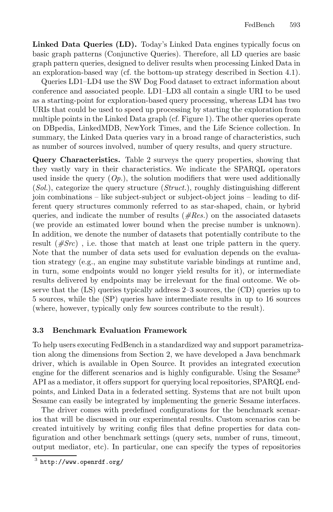**Linked Data Queries (LD).** Today's Linked Data engines typically focus on basic graph patterns (Conjunctive Queries). Therefore, all LD queries are basic graph pattern queries, designed to deliver results when processing Linked Data in an exploration-based way (cf. the bottom-up strategy described in Section 4.1).

Queries LD1–LD4 use the SW Dog Food dataset to extract information about conference and associated people. LD1–LD3 all contain a single URI to be used as a starting-point for exploration-based query processing, whereas LD4 has two URIs that could be used to speed up processing by starting the exploration from multiple points in the Linked Data graph (cf. Figure 1). The other queries operate on DBpedia, LinkedMDB, NewYork Times, and the Life Science collection. In summary, the Linked Data queries vary in a broad range of characteristics, such as number of sources involved, number of query results, and query structure.

**Query Characteristics.** Table 2 surveys the query properties, showing that they vastly vary in their characteristics. We indicate the SPARQL operators used inside the query  $(\mathcal{O}_p)$ , the solution modifiers that were used additionally (*Sol.*), categorize the query structure (*Struct.*), roughly distinguishing different join combinations – like subject-subject or subject-object joins – leading to different query structures commonly referred to as star-shaped, chain, or hybrid queries, and indicate the number of results (*#Res.*) on the associated datasets (we provide an estimated lower bound when the precise number is unknown). In addition, we denote the number of datasets that potentially contribute to the result  $(\text{#Src})$ , i.e. those that match at least one triple pattern in the query. Note that the number of data sets used for evaluation depends on the evaluation strategy (e.g., an engine may substitute variable bindings at runtime and, in turn, some endpoints would no longer yield results for it), or intermediate results delivered by endpoints may be irrelevant for the final outcome. We observe that the (LS) queries typically address 2–3 sources, the (CD) queries up to 5 sources, while the (SP) queries have intermediate results in up to 16 sources (where, however, typically only few sources contribute to the result).

### **3.3 Benchmark Evaluation Framework**

To help users executing FedBench in a standardized way and support parametrization along the dimensions from Section 2, we have developed a Java benchmark driver, which is available in Open Source. It provides an integrated execution engine for the different scenarios and is highly configurable. Using the Sesame<sup>3</sup> API as a mediator, it offers support for querying local repositories, SPARQL endpoints, and Linked Data in a federated setting. Systems that are not built upon Sesame can easily be integrated by implementing the generic Sesame interfaces.

The driver comes with predefined configurations for the benchmark scenarios that will be discussed in our experimental results. Custom scenarios can be created intuitively by writing config files that define properties for data configuration and other benchmark settings (query sets, number of runs, timeout, output mediator, etc). In particular, one can specify the types of repositories

<sup>3</sup> http://www.openrdf.org/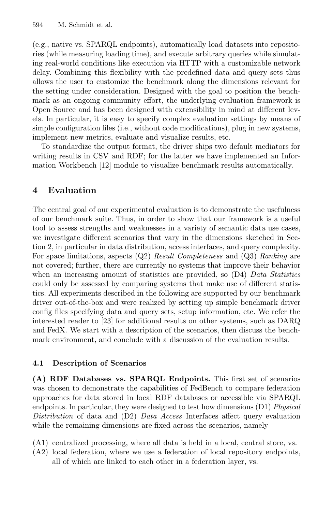(e.g., native vs. SPARQL endpoints), automatically load datasets into repositories (while measuring loading time), and execute arbitrary queries while simulating real-world conditions like execution via HTTP with a customizable network delay. Combining this flexibility with the predefined data and query sets thus allows the user to customize the benchmark along the dimensions relevant for the setting under consideration. Designed with the goal to position the benchmark as an ongoing community effort, the underlying evaluation framework is Open Source and has been designed with extensibility in mind at different levels. In particular, it is easy to specify complex evaluation settings by means of simple configuration files (i.e., without code modifications), plug in new systems, implement new metrics, evaluate and visualize results, etc.

To standardize the output format, the driver ships two default mediators for writing results in CSV and RDF; for the latter we have implemented an Information Workbench [12] module to visualize benchmark results automatically.

# **4 Evaluation**

The central goal of our experimental evaluation is to demonstrate the usefulness of our benchmark suite. Thus, in order to show that our framework is a useful tool to assess strengths and weaknesses in a variety of semantic data use cases, we investigate different scenarios that vary in the dimensions sketched in Section 2, in particular in data distribution, access interfaces, and query complexity. For space limitations, aspects (Q2) *Result Completeness* and (Q3) *Ranking* are not covered; further, there are currently no systems that improve their behavior when an increasing amount of statistics are provided, so (D4) *Data Statistics* could only be assessed by comparing systems that make use of different statistics. All experiments described in the following are supported by our benchmark driver out-of-the-box and were realized by setting up simple benchmark driver config files specifying data and query sets, setup information, etc. We refer the interested reader to [23] for additional results on other systems, such as DARQ and FedX. We start with a description of the scenarios, then discuss the benchmark environment, and conclude with a discussion of the evaluation results.

### **4.1 Description of Scenarios**

**(A) RDF Databases vs. SPARQL Endpoints.** This first set of scenarios was chosen to demonstrate the capabilities of FedBench to compare federation approaches for data stored in local RDF databases or accessible via SPARQL endpoints. In particular, they were designed to test how dimensions (D1) *Physical Distribution* of data and (D2) *Data Access* Interfaces affect query evaluation while the remaining dimensions are fixed across the scenarios, namely

- (A1) centralized processing, where all data is held in a local, central store, vs.
- (A2) local federation, where we use a federation of local repository endpoints, all of which are linked to each other in a federation layer, vs.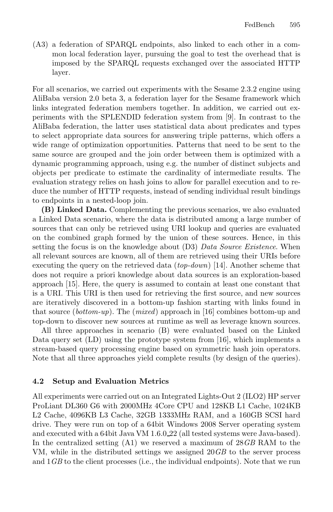(A3) a federation of SPARQL endpoints, also linked to each other in a common local federation layer, pursuing the goal to test the overhead that is imposed by the SPARQL requests exchanged over the associated HTTP layer.

For all scenarios, we carried out experiments with the Sesame 2.3.2 engine using AliBaba version 2.0 beta 3, a federation layer for the Sesame framework which links integrated federation members together. In addition, we carried out experiments with the SPLENDID federation system from [9]. In contrast to the AliBaba federation, the latter uses statistical data about predicates and types to select appropriate data sources for answering triple patterns, which offers a wide range of optimization opportunities. Patterns that need to be sent to the same source are grouped and the join order between them is optimized with a dynamic programming approach, using e.g. the number of distinct subjects and objects per predicate to estimate the cardinality of intermediate results. The evaluation strategy relies on hash joins to allow for parallel execution and to reduce the number of HTTP requests, instead of sending individual result bindings to endpoints in a nested-loop join.

**(B) Linked Data.** Complementing the previous scenarios, we also evaluated a Linked Data scenario, where the data is distributed among a large number of sources that can only be retrieved using URI lookup and queries are evaluated on the combined graph formed by the union of these sources. Hence, in this setting the focus is on the knowledge about (D3) *Data Source Existence*. When all relevant sources are known, all of them are retrieved using their URIs before executing the query on the retrieved data (*top-down*) [14]. Another scheme that does not require a priori knowledge about data sources is an exploration-based approach [15]. Here, the query is assumed to contain at least one constant that is a URI. This URI is then used for retrieving the first source, and new sources are iteratively discovered in a bottom-up fashion starting with links found in that source (*bottom-up*). The (*mixed*) approach in [16] combines bottom-up and top-down to discover new sources at runtime as well as leverage known sources.

All three approaches in scenario (B) were evaluated based on the Linked Data query set (LD) using the prototype system from [16], which implements a stream-based query processing engine based on symmetric hash join operators. Note that all three approaches yield complete results (by design of the queries).

#### **4.2 Setup and Evaluation Metrics**

All experiments were carried out on an Integrated Lights-Out 2 (ILO2) HP server ProLiant DL360 G6 with 2000MHz 4Core CPU and 128KB L1 Cache, 1024KB L2 Cache, 4096KB L3 Cache, 32GB 1333MHz RAM, and a 160GB SCSI hard drive. They were run on top of a 64bit Windows 2008 Server operating system and executed with a 64bit Java VM 1.6.0<sub>-22</sub> (all tested systems were Java-based). In the centralized setting (A1) we reserved a maximum of 28*GB* RAM to the VM, while in the distributed settings we assigned 20*GB* to the server process and  $1GB$  to the client processes (i.e., the individual endpoints). Note that we run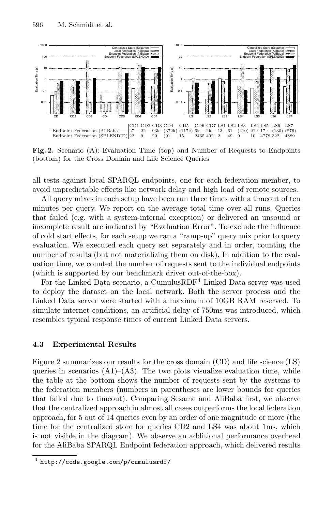

**Fig. 2.** Scenario (A): Evaluation Time (top) and Number of Requests to Endpoints (bottom) for the Cross Domain and Life Science Queries

all tests against local SPARQL endpoints, one for each federation member, to avoid unpredictable effects like network delay and high load of remote sources.

All query mixes in each setup have been run three times with a timeout of ten minutes per query. We report on the average total time over all runs. Queries that failed (e.g. with a system-internal exception) or delivered an unsound or incomplete result are indicated by "Evaluation Error". To exclude the influence of cold start effects, for each setup we ran a "ramp-up" query mix prior to query evaluation. We executed each query set separately and in order, counting the number of results (but not materializing them on disk). In addition to the evaluation time, we counted the number of requests sent to the individual endpoints (which is supported by our benchmark driver out-of-the-box).

For the Linked Data scenario, a CumulusRDF<sup>4</sup> Linked Data server was used to deploy the dataset on the local network. Both the server process and the Linked Data server were started with a maximum of 10GB RAM reserved. To simulate internet conditions, an artificial delay of 750ms was introduced, which resembles typical response times of current Linked Data servers.

#### **4.3 Experimental Results**

Figure 2 summarizes our results for the cross domain (CD) and life science (LS) queries in scenarios  $(A1)$ – $(A3)$ . The two plots visualize evaluation time, while the table at the bottom shows the number of requests sent by the systems to the federation members (numbers in parentheses are lower bounds for queries that failed due to timeout). Comparing Sesame and AliBaba first, we observe that the centralized approach in almost all cases outperforms the local federation approach, for 5 out of 14 queries even by an order of one magnitude or more (the time for the centralized store for queries CD2 and LS4 was about 1ms, which is not visible in the diagram). We observe an additional performance overhead for the AliBaba SPARQL Endpoint federation approach, which delivered results

<sup>4</sup> http://code.google.com/p/cumulusrdf/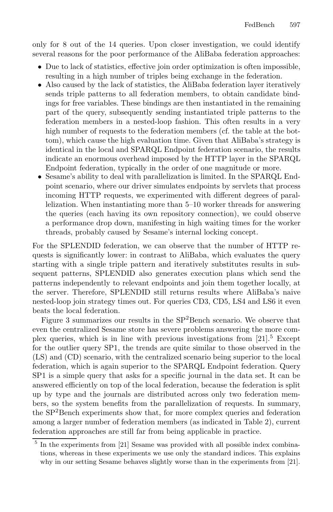only for 8 out of the 14 queries. Upon closer investigation, we could identify several reasons for the poor performance of the AliBaba federation approaches:

- Due to lack of statistics, effective join order optimization is often impossible, resulting in a high number of triples being exchange in the federation.
- Also caused by the lack of statistics, the AliBaba federation layer iteratively sends triple patterns to all federation members, to obtain candidate bindings for free variables. These bindings are then instantiated in the remaining part of the query, subsequently sending instantiated triple patterns to the federation members in a nested-loop fashion. This often results in a very high number of requests to the federation members (cf. the table at the bottom), which cause the high evaluation time. Given that AliBaba's strategy is identical in the local and SPARQL Endpoint federation scenario, the results indicate an enormous overhead imposed by the HTTP layer in the SPARQL Endpoint federation, typically in the order of one magnitude or more.
- Sesame's ability to deal with parallelization is limited. In the SPARQL Endpoint scenario, where our driver simulates endpoints by servlets that process incoming HTTP requests, we experimented with different degrees of parallelization. When instantiating more than 5–10 worker threads for answering the queries (each having its own repository connection), we could observe a performance drop down, manifesting in high waiting times for the worker threads, probably caused by Sesame's internal locking concept.

For the SPLENDID federation, we can observe that the number of HTTP requests is significantly lower: in contrast to AliBaba, which evaluates the query starting with a single triple pattern and iteratively substitutes results in subsequent patterns, SPLENDID also generates execution plans which send the patterns independently to relevant endpoints and join them together locally, at the server. Therefore, SPLENDID still returns results where AliBaba's naive nested-loop join strategy times out. For queries CD3, CD5, LS4 and LS6 it even beats the local federation.

Figure 3 summarizes our results in the  $SP<sup>2</sup>$ Bench scenario. We observe that even the centralized Sesame store has severe problems answering the more complex queries, which is in line with previous investigations from  $[21]$ .<sup>5</sup> Except for the outlier query SP1, the trends are quite similar to those observed in the (LS) and (CD) scenario, with the centralized scenario being superior to the local federation, which is again superior to the SPARQL Endpoint federation. Query SP1 is a simple query that asks for a specific journal in the data set. It can be answered efficiently on top of the local federation, because the federation is split up by type and the journals are distributed across only two federation members, so the system benefits from the parallelization of requests. In summary, the  $SP<sup>2</sup>$ Bench experiments show that, for more complex queries and federation among a larger number of federation members (as indicated in Table 2), current federation approaches are still far from being applicable in practice.

<sup>5</sup> In the experiments from [21] Sesame was provided with all possible index combinations, whereas in these experiments we use only the standard indices. This explains why in our setting Sesame behaves slightly worse than in the experiments from [21].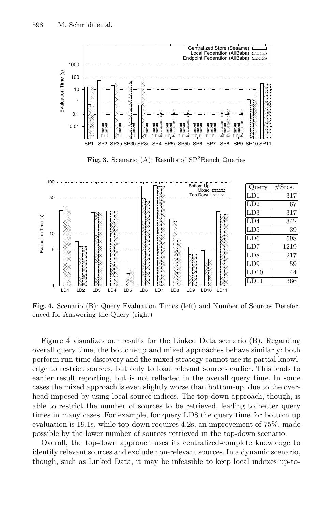

**Fig. 4.** Scenario (B): Query Evaluation Times (left) and Number of Sources Dereferenced for Answering the Query (right)

Figure 4 visualizes our results for the Linked Data scenario (B). Regarding overall query time, the bottom-up and mixed approaches behave similarly: both perform run-time discovery and the mixed strategy cannot use its partial knowledge to restrict sources, but only to load relevant sources earlier. This leads to earlier result reporting, but is not reflected in the overall query time. In some cases the mixed approach is even slightly worse than bottom-up, due to the overhead imposed by using local source indices. The top-down approach, though, is able to restrict the number of sources to be retrieved, leading to better query times in many cases. For example, for query LD8 the query time for bottom up evaluation is 19.1s, while top-down requires 4.2s, an improvement of 75%, made possible by the lower number of sources retrieved in the top-down scenario.

Overall, the top-down approach uses its centralized-complete knowledge to identify relevant sources and exclude non-relevant sources. In a dynamic scenario, though, such as Linked Data, it may be infeasible to keep local indexes up-to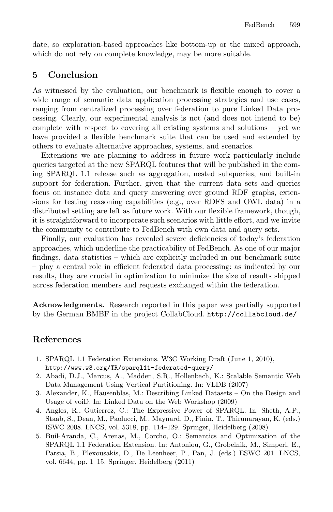date, so exploration-based approaches like bottom-up or the mixed approach, which do not rely on complete knowledge, may be more suitable.

### **5 Conclusion**

As witnessed by the evaluation, our benchmark is flexible enough to cover a wide range of semantic data application processing strategies and use cases, ranging from centralized processing over federation to pure Linked Data processing. Clearly, our experimental analysis is not (and does not intend to be) complete with respect to covering all existing systems and solutions – yet we have provided a flexible benchmark suite that can be used and extended by others to evaluate alternative approaches, systems, and scenarios.

Extensions we are planning to address in future work particularly include queries targeted at the new SPARQL features that will be published in the coming SPARQL 1.1 release such as aggregation, nested subqueries, and built-in support for federation. Further, given that the current data sets and queries focus on instance data and query answering over ground RDF graphs, extensions for testing reasoning capabilities (e.g., over RDFS and OWL data) in a distributed setting are left as future work. With our flexible framework, though, it is straightforward to incorporate such scenarios with little effort, and we invite the community to contribute to FedBench with own data and query sets.

Finally, our evaluation has revealed severe deficiencies of today's federation approaches, which underline the practicability of FedBench. As one of our major findings, data statistics – which are explicitly included in our benchmark suite – play a central role in efficient federated data processing: as indicated by our results, they are crucial in optimization to minimize the size of results shipped across federation members and requests exchanged within the federation.

**Acknowledgments.** Research reported in this paper was partially supported by the German BMBF in the project CollabCloud. http://collabcloud.de/

# **References**

- 1. SPARQL 1.1 Federation Extensions. W3C Working Draft (June 1, 2010), http://www.w3.org/TR/sparql11-federated-query/
- 2. Abadi, D.J., Marcus, A., Madden, S.R., Hollenbach, K.: Scalable Semantic Web Data Management Using Vertical Partitioning. In: VLDB (2007)
- 3. Alexander, K., Hausenblas, M.: Describing Linked Datasets On the Design and Usage of voiD. In: Linked Data on the Web Workshop (2009)
- 4. Angles, R., Gutierrez, C.: The Expressive Power of SPARQL. In: Sheth, A.P., Staab, S., Dean, M., Paolucci, M., Maynard, D., Finin, T., Thirunarayan, K. (eds.) ISWC 2008. LNCS, vol. 5318, pp. 114–129. Springer, Heidelberg (2008)
- 5. Buil-Aranda, C., Arenas, M., Corcho, O.: Semantics and Optimization of the SPARQL 1.1 Federation Extension. In: Antoniou, G., Grobelnik, M., Simperl, E., Parsia, B., Plexousakis, D., De Leenheer, P., Pan, J. (eds.) ESWC 201. LNCS, vol. 6644, pp. 1–15. Springer, Heidelberg (2011)